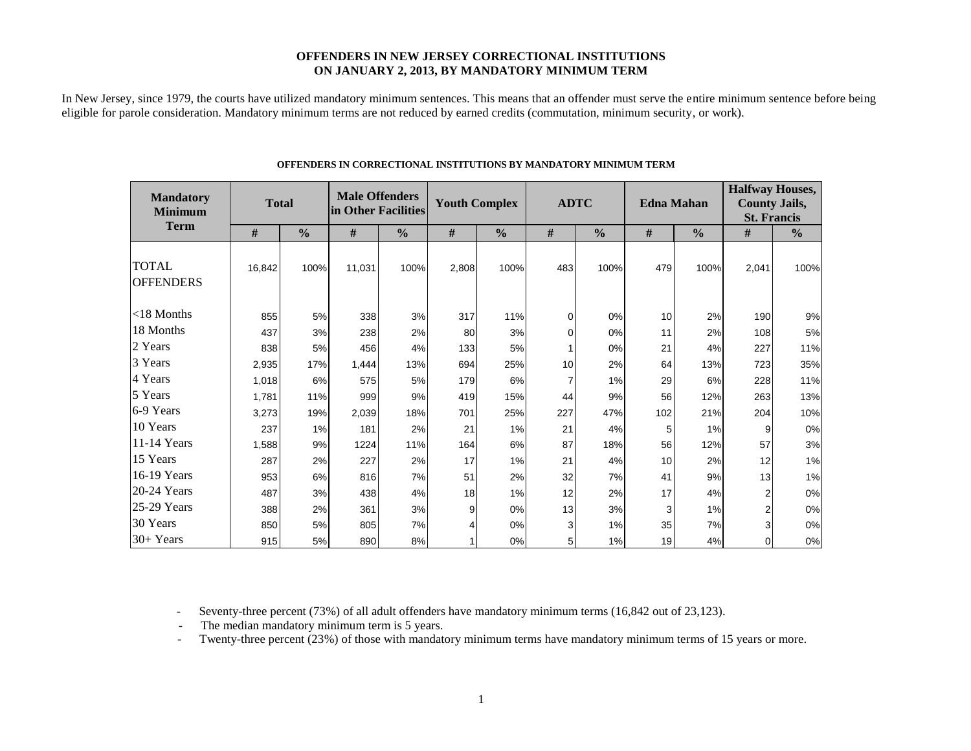### **OFFENDERS IN NEW JERSEY CORRECTIONAL INSTITUTIONS ON JANUARY 2, 2013, BY MANDATORY MINIMUM TERM**

In New Jersey, since 1979, the courts have utilized mandatory minimum sentences. This means that an offender must serve the entire minimum sentence before being eligible for parole consideration. Mandatory minimum terms are not reduced by earned credits (commutation, minimum security, or work).

| <b>Mandatory</b><br><b>Minimum</b> | <b>Total</b><br><b>Term</b> |               | <b>Male Offenders</b><br>in Other Facilities |      |       | <b>Youth Complex</b> |     | <b>ADTC</b>   | <b>Edna Mahan</b> |               | <b>Halfway Houses,</b><br><b>County Jails,</b><br><b>St. Francis</b> |               |  |
|------------------------------------|-----------------------------|---------------|----------------------------------------------|------|-------|----------------------|-----|---------------|-------------------|---------------|----------------------------------------------------------------------|---------------|--|
|                                    | #                           | $\frac{0}{0}$ | #<br>$\frac{0}{0}$                           |      | #     | $\frac{0}{0}$        |     | $\frac{0}{0}$ | #                 | $\frac{0}{0}$ |                                                                      | $\frac{0}{0}$ |  |
| <b>TOTAL</b><br><b>OFFENDERS</b>   | 16,842                      | 100%          | 11,031                                       | 100% | 2,808 | 100%                 | 483 | 100%          | 479               | 100%          | 2,041                                                                | 100%          |  |
| $<$ 18 Months                      | 855                         | 5%            | 338                                          | 3%   | 317   | 11%                  | 0   | 0%            | 10                | 2%            | 190                                                                  | 9%            |  |
| 18 Months                          | 437                         | 3%            | 238                                          | 2%   | 80    | 3%                   | 0   | 0%            | 11                | 2%            | 108                                                                  | 5%            |  |
| 2 Years                            | 838                         | 5%            | 456                                          | 4%   | 133   | 5%                   |     | 0%            | 21                | 4%            | 227                                                                  | 11%           |  |
| 3 Years                            | 2,935                       | 17%           | 1,444                                        | 13%  | 694   | 25%                  | 10  | 2%            | 64                | 13%           | 723                                                                  | 35%           |  |
| 4 Years                            | 1,018                       | 6%            | 575                                          | 5%   | 179   | 6%                   | 7   | 1%            | 29                | 6%            | 228                                                                  | 11%           |  |
| 5 Years                            | 1,781                       | 11%           | 999                                          | 9%   | 419   | 15%                  | 44  | 9%            | 56                | 12%           | 263                                                                  | 13%           |  |
| 6-9 Years                          | 3,273                       | 19%           | 2,039                                        | 18%  | 701   | 25%                  | 227 | 47%           | 102               | 21%           | 204                                                                  | 10%           |  |
| 10 Years                           | 237                         | 1%            | 181                                          | 2%   | 21    | 1%                   | 21  | 4%            | 5                 | 1%            | 9                                                                    | 0%            |  |
| 11-14 Years                        | 1,588                       | 9%            | 1224                                         | 11%  | 164   | 6%                   | 87  | 18%           | 56                | 12%           | 57                                                                   | 3%            |  |
| 15 Years                           | 287                         | 2%            | 227                                          | 2%   | 17    | 1%                   | 21  | 4%            | 10                | 2%            | 12                                                                   | 1%            |  |
| 16-19 Years                        | 953                         | 6%            | 816                                          | 7%   | 51    | 2%                   | 32  | 7%            | 41                | 9%            | 13                                                                   | 1%            |  |
| 20-24 Years                        | 487                         | 3%            | 438                                          | 4%   | 18    | 1%                   | 12  | 2%            | 17                | 4%            | 2                                                                    | 0%            |  |
| 25-29 Years                        | 388                         | 2%            | 361                                          | 3%   | 9     | 0%                   | 13  | 3%            | 3                 | 1%            | $\overline{2}$                                                       | 0%            |  |
| 30 Years                           | 850                         | 5%            | 805                                          | 7%   |       | 0%                   | 3   | 1%            | 35                | 7%            | 3                                                                    | 0%            |  |
| 30+ Years                          | 915                         | 5%            | 890                                          | 8%   |       | 0%                   | 5   | 1%            | 19                | 4%            | $\Omega$                                                             | $0\%$         |  |

### **OFFENDERS IN CORRECTIONAL INSTITUTIONS BY MANDATORY MINIMUM TERM**

- Seventy-three percent (73%) of all adult offenders have mandatory minimum terms (16,842 out of 23,123).

- The median mandatory minimum term is 5 years.

- Twenty-three percent (23%) of those with mandatory minimum terms have mandatory minimum terms of 15 years or more.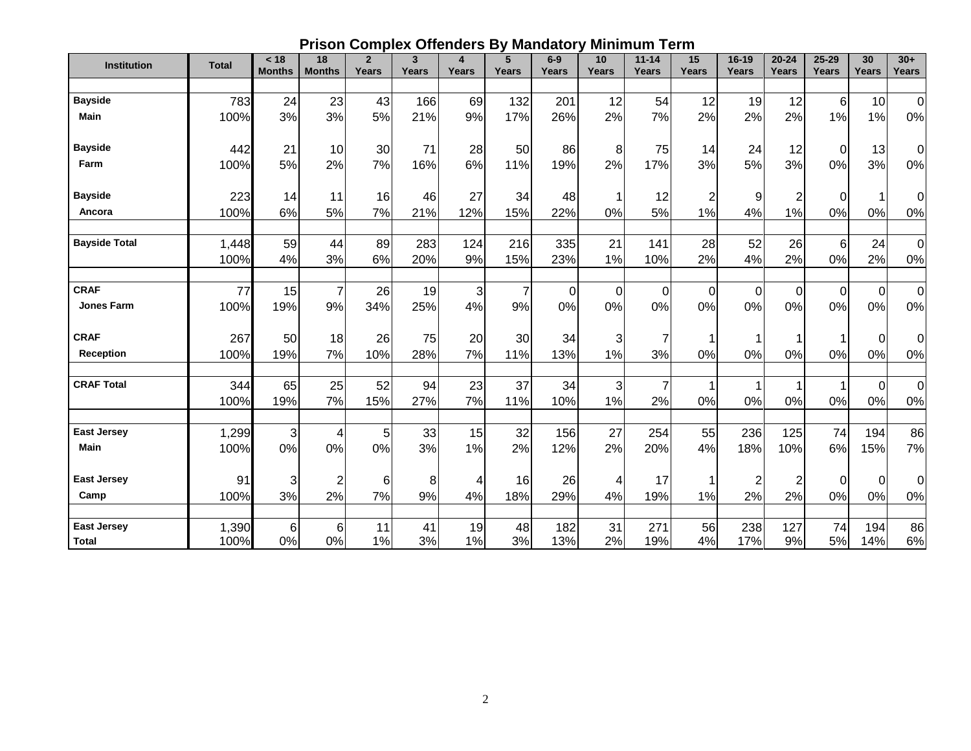|  |  |  | <b>Prison Complex Offenders By Mandatory Minimum Term</b> |
|--|--|--|-----------------------------------------------------------|
|--|--|--|-----------------------------------------------------------|

| <b>Institution</b>   | <b>Total</b> | < 18<br><b>Months</b> | 18<br><b>Months</b> | $\overline{2}$<br>Years | $\overline{\mathbf{3}}$<br><b>Years</b> | $\overline{\mathbf{4}}$<br>Years | 5<br>Years     | $6-9$<br><b>Years</b> | 10<br>Years | $11 - 14$<br><b>Years</b> | 15<br>Years    | $16 - 19$<br>Years | $20 - 24$<br><b>Years</b> | $25 - 29$<br>Years | 30<br>Years | $30+$<br>Years   |
|----------------------|--------------|-----------------------|---------------------|-------------------------|-----------------------------------------|----------------------------------|----------------|-----------------------|-------------|---------------------------|----------------|--------------------|---------------------------|--------------------|-------------|------------------|
|                      |              |                       |                     |                         |                                         |                                  |                |                       |             |                           |                |                    |                           |                    |             |                  |
| <b>Bayside</b>       | 783          | 24                    | 23                  | 43                      | 166                                     | 69                               | 132            | 201                   | 12          | 54                        | 12             | 19                 | 12                        | 6                  | 10          | $\mathbf 0$      |
| Main                 | 100%         | 3%                    | 3%                  | 5%                      | 21%                                     | 9%                               | 17%            | 26%                   | 2%          | 7%                        | 2%             | 2%                 | 2%                        | 1%                 | 1%          | 0%               |
|                      |              |                       |                     |                         |                                         |                                  |                |                       |             |                           |                |                    |                           |                    |             |                  |
| <b>Bayside</b>       | 442          | 21                    | 10                  | 30                      | 71                                      | 28                               | 50             | 86                    | 8           | 75                        | 14             | 24                 | 12                        | $\mathbf 0$        | 13          | 0                |
| Farm                 | 100%         | 5%                    | 2%                  | 7%                      | 16%                                     | 6%                               | 11%            | 19%                   | 2%          | 17%                       | 3%             | 5%                 | 3%                        | 0%                 | 3%          | 0%               |
|                      |              |                       |                     |                         |                                         |                                  |                |                       |             |                           |                |                    |                           |                    |             |                  |
| <b>Bayside</b>       | 223          | 14                    | 11                  | 16                      | 46                                      | 27                               | 34             | 48                    |             | 12                        | $\overline{c}$ | 9                  | $\overline{c}$            | $\Omega$           | 1           | 0                |
| Ancora               | 100%         | 6%                    | 5%                  | 7%                      | 21%                                     | 12%                              | 15%            | 22%                   | 0%          | 5%                        | 1%             | 4%                 | 1%                        | 0%                 | 0%          | 0%               |
|                      |              |                       |                     |                         |                                         |                                  |                |                       |             |                           |                |                    |                           |                    |             |                  |
| <b>Bayside Total</b> | 1,448        | 59                    | 44                  | 89                      | 283                                     | 124                              | 216            | 335                   | 21          | 141                       | 28             | 52                 | 26                        | 6                  | 24          | $\boldsymbol{0}$ |
|                      | 100%         | 4%                    | 3%                  | 6%                      | 20%                                     | 9%                               | 15%            | 23%                   | 1%          | 10%                       | 2%             | 4%                 | 2%                        | 0%                 | 2%          | 0%               |
| <b>CRAF</b>          | 77           | 15                    | $\overline{7}$      | 26                      | 19                                      | $\sqrt{3}$                       | $\overline{7}$ | $\mathbf 0$           | $\Omega$    | $\Omega$                  | 0              | $\mathbf 0$        | $\overline{0}$            | $\mathbf 0$        | $\pmb{0}$   | $\mathbf 0$      |
| <b>Jones Farm</b>    | 100%         | 19%                   | 9%                  | 34%                     | 25%                                     | 4%                               | 9%             | 0%                    | 0%          | 0%                        | 0%             | 0%                 | 0%                        | 0%                 | 0%          | 0%               |
|                      |              |                       |                     |                         |                                         |                                  |                |                       |             |                           |                |                    |                           |                    |             |                  |
| <b>CRAF</b>          | 267          | 50                    | 18                  | 26                      | 75                                      | 20                               | 30             | 34                    | 3           |                           |                |                    |                           |                    | 0           | $\Omega$         |
| <b>Reception</b>     | 100%         | 19%                   | 7%                  | 10%                     | 28%                                     | 7%                               | 11%            | 13%                   | 1%          | 3%                        | 0%             | 0%                 | 0%                        | 0%                 | 0%          | 0%               |
|                      |              |                       |                     |                         |                                         |                                  |                |                       |             |                           |                |                    |                           |                    |             |                  |
| <b>CRAF Total</b>    | 344          | 65                    | 25                  | 52                      | 94                                      | 23                               | 37             | 34                    | 3           |                           |                |                    |                           |                    | $\Omega$    | $\mathbf 0$      |
|                      | 100%         | 19%                   | 7%                  | 15%                     | 27%                                     | 7%                               | 11%            | 10%                   | 1%          | 2%                        | 0%             | 0%                 | 0%                        | 0%                 | 0%          | 0%               |
|                      |              |                       |                     |                         |                                         |                                  |                |                       |             |                           |                |                    |                           |                    |             |                  |
| <b>East Jersey</b>   | 1,299        | 3                     | 4                   | 5                       | 33                                      | 15                               | 32             | 156                   | 27          | 254                       | 55             | 236                | 125                       | 74                 | 194         | 86               |
| <b>Main</b>          | 100%         | 0%                    | 0%                  | 0%                      | 3%                                      | 1%                               | 2%             | 12%                   | 2%          | 20%                       | 4%             | 18%                | 10%                       | 6%                 | 15%         | 7%               |
| <b>East Jersey</b>   |              |                       |                     |                         |                                         |                                  |                |                       |             |                           |                |                    |                           |                    |             |                  |
|                      | 91           | 3                     | $\overline{c}$      | 6                       | 8                                       | 4                                | 16             | 26                    | 4           | 17                        |                | $\overline{2}$     | $\overline{c}$            | 0                  | $\mathbf 0$ | 0                |
| Camp                 | 100%         | 3%                    | 2%                  | 7%                      | 9%                                      | 4%                               | 18%            | 29%                   | 4%          | 19%                       | 1%             | 2%                 | 2%                        | 0%                 | 0%          | 0%               |
| <b>East Jersey</b>   | 1,390        | 6                     | 6                   | 11                      | 41                                      | 19                               | 48             | 182                   | 31          | 271                       | 56             | 238                | 127                       | 74                 | 194         | 86               |
| <b>Total</b>         | 100%         | 0%                    | 0%                  | 1%                      | 3%                                      | 1%                               | 3%             | 13%                   | 2%          | 19%                       | 4%             | 17%                | 9%                        | 5%                 | 14%         | 6%               |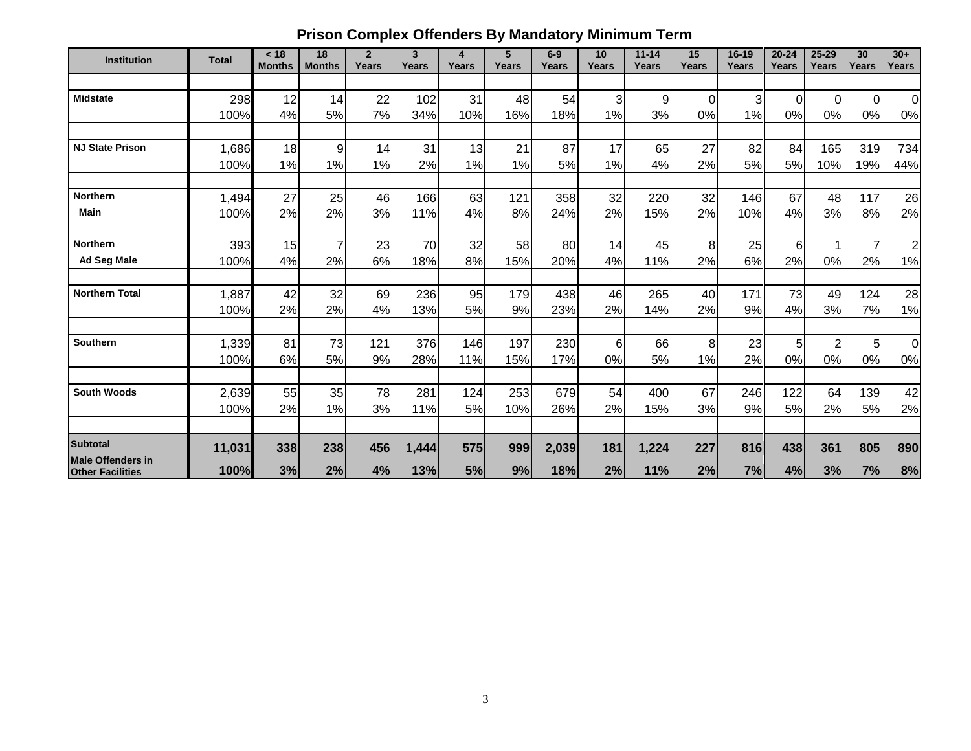# **Prison Complex Offenders By Mandatory Minimum Term**

| <b>Institution</b>                                  | <b>Total</b>  | < 18<br><b>Months</b> | 18<br><b>Months</b> | $\overline{2}$<br>Years | 3<br>Years | 4<br>Years | 5<br>Years | $6-9$<br>Years | 10<br>Years     | $11 - 14$<br>Years | 15<br>Years | 16-19<br>Years | $20 - 24$<br>Years | $25 - 29$<br>Years | 30<br>Years | $30+$<br>Years |
|-----------------------------------------------------|---------------|-----------------------|---------------------|-------------------------|------------|------------|------------|----------------|-----------------|--------------------|-------------|----------------|--------------------|--------------------|-------------|----------------|
|                                                     |               |                       |                     |                         |            |            |            |                |                 |                    |             |                |                    |                    |             |                |
| <b>Midstate</b>                                     | 298           | 12                    | 14                  | 22                      | 102        | 31         | 48         | 54             | 3               | $\overline{9}$     | 0           | 3              | $\Omega$           | $\mathbf 0$        | $\Omega$    | $\overline{0}$ |
|                                                     | 100%          | 4%                    | 5%                  | 7%                      | 34%        | 10%        | 16%        | 18%            | 1%              | 3%                 | 0%          | 1%             | 0%                 | 0%                 | 0%          | $0\%$          |
|                                                     |               |                       |                     |                         |            |            |            |                |                 |                    |             |                |                    |                    |             |                |
| <b>NJ State Prison</b>                              | 1,686         | 18                    | 9                   | 14                      | 31         | 13         | 21         | 87             | 17              | 65                 | 27          | 82             | 84                 | 165                | 319         | 734            |
|                                                     | 100%          | 1%                    | 1%                  | 1%                      | 2%         | 1%         | 1%         | 5%             | 1%              | 4%                 | 2%          | 5%             | 5%                 | 10%                | 19%         | 44%            |
| <b>Northern</b>                                     | 1,494         | 27                    | 25                  | 46                      | 166        | 63         | 121        | 358            | 32              | 220                | 32          | 146            | 67                 | 48                 | 117         | 26             |
| <b>Main</b>                                         | 100%          | 2%                    | 2%                  | 3%                      | 11%        | 4%         | 8%         | 24%            | 2%              | 15%                | 2%          | 10%            | 4%                 | 3%                 | 8%          | 2%             |
|                                                     |               |                       |                     |                         |            |            |            |                |                 |                    |             |                |                    |                    |             |                |
| <b>Northern</b>                                     | 393           | 15                    |                     | 23                      | 70         | 32         | 58         | 80             | 14              | 45                 | 8           | 25             | 6                  |                    |             | $\overline{2}$ |
| <b>Ad Seg Male</b>                                  | 100%          | 4%                    | 2%                  | 6%                      | 18%        | 8%         | 15%        | 20%            | 4%              | 11%                | 2%          | 6%             | 2%                 | 0%                 | 2%          | 1%             |
|                                                     |               |                       |                     |                         |            |            |            |                |                 |                    |             |                |                    |                    |             |                |
| <b>Northern Total</b>                               | 1,887         | 42                    | 32                  | 69                      | 236        | 95         | 179        | 438            | 46              | 265                | 40          | 171            | 73                 | 49                 | 124         | 28             |
|                                                     | 100%          | 2%                    | 2%                  | 4%                      | 13%        | 5%         | 9%         | 23%            | 2%              | 14%                | 2%          | 9%             | 4%                 | 3%                 | 7%          | 1%             |
| <b>Southern</b>                                     |               | 81                    | 73                  | 121                     | 376        | 146        | 197        | 230            | $6\phantom{1}6$ | 66                 | 8           | 23             | 5                  | $\overline{2}$     |             | $\overline{0}$ |
|                                                     | 1,339<br>100% | 6%                    | 5%                  | 9%                      | 28%        | 11%        | 15%        | 17%            | 0%              | 5%                 | 1%          | 2%             | 0%                 | 0%                 | 5<br>0%     | $0\%$          |
|                                                     |               |                       |                     |                         |            |            |            |                |                 |                    |             |                |                    |                    |             |                |
| <b>South Woods</b>                                  | 2,639         | 55                    | 35                  | 78                      | 281        | 124        | 253        | 679            | 54              | 400                | 67          | 246            | 122                | 64                 | 139         | 42             |
|                                                     | 100%          | 2%                    | 1%                  | 3%                      | 11%        | 5%         | 10%        | 26%            | 2%              | 15%                | 3%          | 9%             | 5%                 | 2%                 | 5%          | 2%             |
|                                                     |               |                       |                     |                         |            |            |            |                |                 |                    |             |                |                    |                    |             |                |
| <b>Subtotal</b>                                     | 11,031        | 338                   | 238                 | 456                     | 1,444      | 575        | 999        | 2,039          | 181             | 1,224              | 227         | 816            | 438                | 361                | 805         | 890            |
| <b>Male Offenders in</b><br><b>Other Facilities</b> | 100%          | 3%                    | 2%                  | 4%                      | 13%        | 5%         | 9%         | 18%            | 2%              | 11%                | 2%          | 7%             | 4%                 | 3%                 | 7%          | 8%             |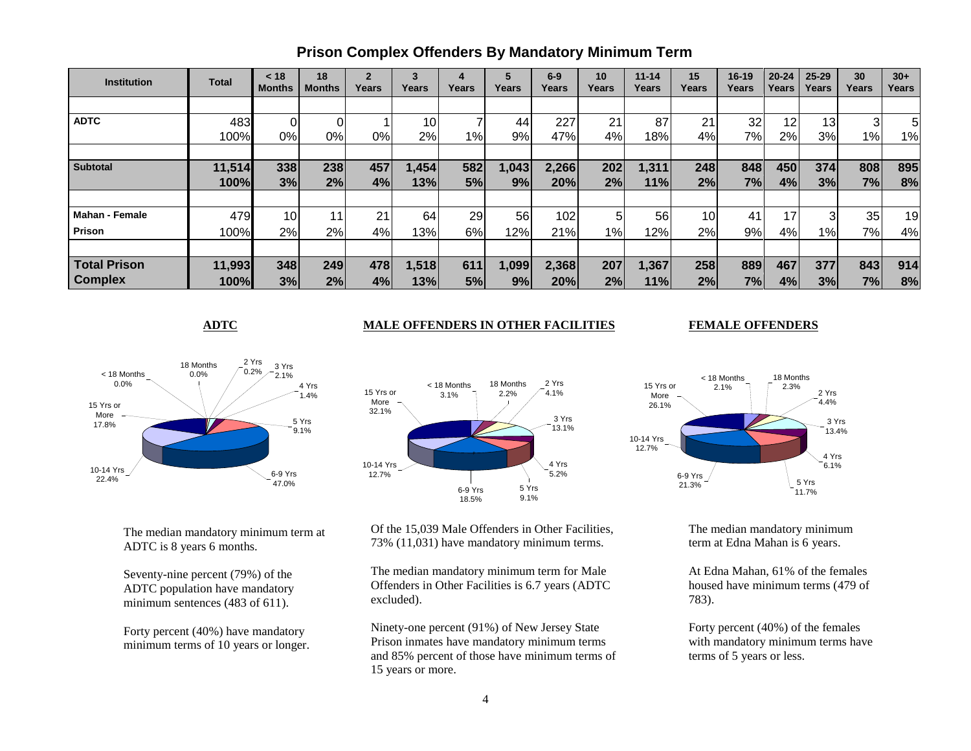| <b>Institution</b>    | Total  | < 18<br><b>Months</b> | 18<br><b>Months</b> | $\overline{2}$<br>Years | 3<br>Years | 4<br>Years | 5<br>Years | $6-9$<br>Years | 10<br>Years | $11 - 14$<br>Years | 15<br>Years     | $16 - 19$<br>Years | $20 - 24$<br>Years | $25 - 29$<br>Years | 30<br>Years | $30+$<br><b>Years</b> |
|-----------------------|--------|-----------------------|---------------------|-------------------------|------------|------------|------------|----------------|-------------|--------------------|-----------------|--------------------|--------------------|--------------------|-------------|-----------------------|
|                       |        |                       |                     |                         |            |            |            |                |             |                    |                 |                    |                    |                    |             |                       |
| <b>ADTC</b>           | 483    |                       | 01                  |                         | 10         |            | 44         | 227            | 21          | 87                 | 21              | 32                 | 12                 | 13                 |             | 5                     |
|                       | 100%   | 0%                    | 0%                  | 0%                      | 2%         | $1\%$      | 9%         | 47%            | 4%          | 18%                | 4%              | $7\%$              | 2%                 | 3%                 | 1%          | 1%                    |
|                       |        |                       |                     |                         |            |            |            |                |             |                    |                 |                    |                    |                    |             |                       |
| <b>Subtotal</b>       | 11,514 | 338                   | 238                 | 457                     | ,454       | 582        | 1,043      | 2,266          | 202         | 1,311              | 248             | 848                | 450                | 374                | 808         | 895                   |
|                       | 100%   | 3%                    | 2%                  | 4%                      | 13%        | 5%         | 9%         | 20%            | 2%          | 11%                | 2%              | 7%                 | 4%                 | 3%                 | 7%          | 8%                    |
|                       |        |                       |                     |                         |            |            |            |                |             |                    |                 |                    |                    |                    |             |                       |
| <b>Mahan - Female</b> | 479    | 10 <sub>1</sub>       |                     | 21                      | 64         | 29         | 56         | 102            | 5           | 56                 | 10 <sub>l</sub> | 41                 | 17                 |                    | 35          | 19                    |
| <b>Prison</b>         | 100%   | 2%                    | 2%                  | 4%                      | 13%        | 6%         | 12%        | 21%            | $1\%$       | 12%                | 2%              | 9%                 | 4%                 | 1%                 | 7%          | 4%                    |
|                       |        |                       |                     |                         |            |            |            |                |             |                    |                 |                    |                    |                    |             |                       |
| <b>Total Prison</b>   | 11,993 | 348                   | 249                 | 478                     | 1,518      | 611        | ,099       | 2,368          | 207         | 1,367              | 258             | 889                | 467                | 377                | 843         | 914                   |
| <b>Complex</b>        | 100%   | 3%                    | 2%                  | 4%                      | 13%        | 5%         | 9%         | 20%            | 2%          | 11%                | 2%              | 7%                 | 4%                 | 3%                 | 7%          | 8%                    |

## **Prison Complex Offenders By Mandatory Minimum Term**

### **ADTC MALE OFFENDERS IN OTHER FACILITIES FEMALE OFFENDERS**

### 5 Yrs 9.1% 6-9 Yrs 47.0% 10-14 Yrs 22.4% 15 Yrs or More 17.8%  $-3$  Yrs<br>2.1%  $<$  18 Months 0.0% 2 Yrs 0.2% 4 Yrs 1.4% 18 Months 0.0%

The median mandatory minimum term at ADTC is 8 years 6 months.

Seventy-nine percent (79%) of the ADTC population have mandatory minimum sentences (483 of 611).

Forty percent (40%) have mandatory minimum terms of 10 years or longer.



Of the 15,039 Male Offenders in Other Facilities, 73% (11,031) have mandatory minimum terms.

The median mandatory minimum term for Male Offenders in Other Facilities is 6.7 years (ADTC excluded).

Ninety-one percent (91%) of New Jersey State Prison inmates have mandatory minimum terms and 85% percent of those have minimum terms of 15 years or more.



The median mandatory minimum term at Edna Mahan is 6 years.

At Edna Mahan, 61% of the females housed have minimum terms (479 of 783).

Forty percent (40%) of the females with mandatory minimum terms have terms of 5 years or less.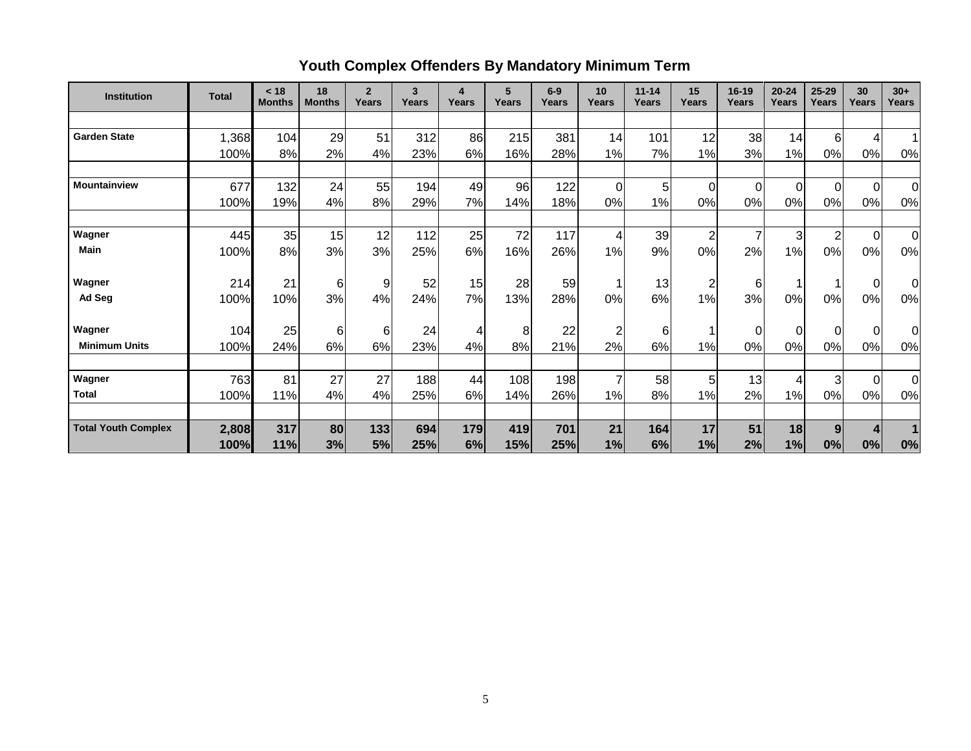# **Youth Complex Offenders By Mandatory Minimum Term**

| <b>Institution</b>         | <b>Total</b> | < 18<br><b>Months</b> | 18<br><b>Months</b> | $\overline{2}$<br>Years | 3<br>Years | $\overline{\mathbf{4}}$<br>Years | 5<br>Years | $6-9$<br>Years | 10<br>Years    | $11 - 14$<br>Years | 15<br><b>Years</b> | $16 - 19$<br>Years | $20 - 24$<br><b>Years</b> | $25 - 29$<br>Years | 30<br>Years    | $30+$<br><b>Years</b> |
|----------------------------|--------------|-----------------------|---------------------|-------------------------|------------|----------------------------------|------------|----------------|----------------|--------------------|--------------------|--------------------|---------------------------|--------------------|----------------|-----------------------|
|                            |              |                       |                     |                         |            |                                  |            |                |                |                    |                    |                    |                           |                    |                |                       |
| <b>Garden State</b>        | 1,368        | 104                   | 29                  | 51                      | 312        | 86                               | 215        | 381            | 14             | 101                | 12                 | 38                 | 14                        | $6 \mid$           | 4              |                       |
|                            | 100%         | 8%                    | 2%                  | 4%                      | 23%        | 6%                               | 16%        | 28%            | 1%             | 7%                 | 1%                 | 3%                 | 1%                        | 0%                 | 0%             | 0%                    |
|                            |              |                       |                     |                         |            |                                  |            |                |                |                    |                    |                    |                           |                    |                |                       |
| <b>Mountainview</b>        | 677          | 132                   | 24                  | 55                      | 194        | 49                               | 96         | 122            | $\Omega$       | 5                  | 0                  | $\overline{0}$     | $\Omega$                  | $\overline{0}$     | $\Omega$       | $\overline{0}$        |
|                            | 100%         | 19%                   | 4%                  | 8%                      | 29%        | 7%                               | 14%        | 18%            | 0%             | 1%                 | 0%                 | 0%                 | 0%                        | 0%                 | 0%             | 0%                    |
|                            |              |                       |                     |                         |            |                                  |            |                |                |                    |                    |                    |                           |                    |                |                       |
| Wagner                     | 445          | 35                    | 15                  | 12                      | 112        | 25                               | 72         | 117            | 4              | 39                 | 2                  | $\overline{7}$     | 3                         | $\overline{2}$     | $\overline{0}$ | $\overline{0}$        |
| Main                       | 100%         | 8%                    | 3%                  | 3%                      | 25%        | 6%                               | 16%        | 26%            | 1%             | 9%                 | 0%                 | 2%                 | 1%                        | 0%                 | $0\%$          | 0%                    |
|                            |              |                       |                     |                         |            |                                  |            |                |                |                    |                    |                    |                           |                    |                |                       |
| Wagner                     | 214          | 21                    | 6                   | 9                       | 52         | 15                               | 28         | 59             |                | 13                 | 2                  | 6                  | 1                         |                    | 0              | 0l                    |
| Ad Seg                     | 100%         | 10%                   | 3%                  | 4%                      | 24%        | 7%                               | 13%        | 28%            | 0%             | 6%                 | 1%                 | 3%                 | 0%                        | 0%                 | 0%             | 0%                    |
| Wagner                     | 104          | 25                    | 6                   | 6                       | 24         | 4                                | 8          | 22             | $\overline{2}$ | 6                  | 1                  | 0                  | $\overline{0}$            | $\overline{0}$     | $\Omega$       | $\overline{0}$        |
| <b>Minimum Units</b>       | 100%         | 24%                   | 6%                  | 6%                      | 23%        | 4%                               | 8%         | 21%            | 2%             | 6%                 | 1%                 | 0%                 | 0%                        | 0%                 | 0%             | 0%                    |
|                            |              |                       |                     |                         |            |                                  |            |                |                |                    |                    |                    |                           |                    |                |                       |
| Wagner                     | 763          | 81                    | 27                  | 27                      | 188        | 44                               | 108        | 198            | 7              | 58                 | 5                  | 13                 | 4                         | $\overline{3}$     | $\Omega$       | $\overline{0}$        |
| <b>Total</b>               | 100%         | 11%                   | 4%                  | 4%                      | 25%        | 6%                               | 14%        | 26%            | 1%             | 8%                 | 1%                 | 2%                 | 1%                        | 0%                 | 0%             | 0%                    |
|                            |              |                       |                     |                         |            |                                  |            |                |                |                    |                    |                    |                           |                    |                |                       |
| <b>Total Youth Complex</b> | 2,808        | 317                   | 80                  | 133                     | 694        | 179                              | 419        | 701            | 21             | 164                | 17                 | 51                 | 18                        | 9 <sub>l</sub>     |                |                       |
|                            | 100%         | 11%                   | 3%                  | 5%                      | 25%        | 6%                               | 15%        | 25%            | 1%             | 6%                 | 1%                 | 2%                 | 1%                        | 0%                 | 0%             | 0%                    |